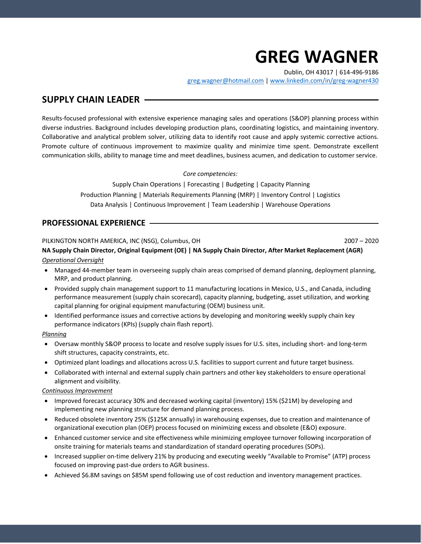# **GREG WAGNER**

Dublin, OH 43017 | 614-496-9186

[greg.wagner@hotmail.com](mailto:greg.wagner@hotmail.com) | [www.linkedin.com/in/greg-wagner430](http://www.linkedin.com/in/greg-wagner430)

# **SUPPLY CHAIN LEADER**

Results-focused professional with extensive experience managing sales and operations (S&OP) planning process within diverse industries. Background includes developing production plans, coordinating logistics, and maintaining inventory. Collaborative and analytical problem solver, utilizing data to identify root cause and apply systemic corrective actions. Promote culture of continuous improvement to maximize quality and minimize time spent. Demonstrate excellent communication skills, ability to manage time and meet deadlines, business acumen, and dedication to customer service.

*Core competencies:*

Supply Chain Operations | Forecasting | Budgeting | Capacity Planning Production Planning | Materials Requirements Planning (MRP) | Inventory Control | Logistics Data Analysis | Continuous Improvement | Team Leadership | Warehouse Operations

## **PROFESSIONAL EXPERIENCE**

#### PILKINGTON NORTH AMERICA, INC (NSG), Columbus, OH 2007 – 2020

**NA Supply Chain Director, Original Equipment (OE) | NA Supply Chain Director, After Market Replacement (AGR)** *Operational Oversight*

- Managed 44-member team in overseeing supply chain areas comprised of demand planning, deployment planning, MRP, and product planning.
- Provided supply chain management support to 11 manufacturing locations in Mexico, U.S., and Canada, including performance measurement (supply chain scorecard), capacity planning, budgeting, asset utilization, and working capital planning for original equipment manufacturing (OEM) business unit.
- Identified performance issues and corrective actions by developing and monitoring weekly supply chain key performance indicators (KPIs) (supply chain flash report).

#### *Planning*

- Oversaw monthly S&OP process to locate and resolve supply issues for U.S. sites, including short- and long-term shift structures, capacity constraints, etc.
- Optimized plant loadings and allocations across U.S. facilities to support current and future target business.
- Collaborated with internal and external supply chain partners and other key stakeholders to ensure operational alignment and visibility.

#### *Continuous Improvement*

- Improved forecast accuracy 30% and decreased working capital (inventory) 15% (\$21M) by developing and implementing new planning structure for demand planning process.
- Reduced obsolete inventory 25% (\$125K annually) in warehousing expenses, due to creation and maintenance of organizational execution plan (OEP) process focused on minimizing excess and obsolete (E&O) exposure.
- Enhanced customer service and site effectiveness while minimizing employee turnover following incorporation of onsite training for materials teams and standardization of standard operating procedures (SOPs).
- Increased supplier on-time delivery 21% by producing and executing weekly "Available to Promise" (ATP) process focused on improving past-due orders to AGR business.
- Achieved \$6.8M savings on \$85M spend following use of cost reduction and inventory management practices.